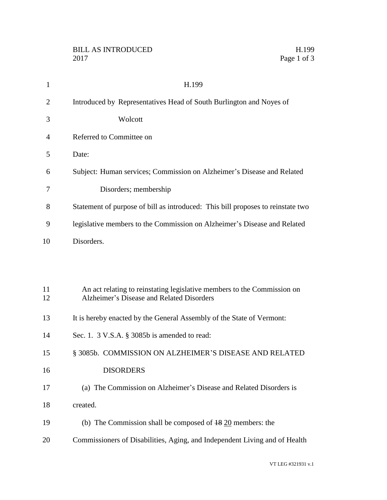| $\mathbf{1}$   | H.199                                                                                                                |
|----------------|----------------------------------------------------------------------------------------------------------------------|
| $\overline{2}$ | Introduced by Representatives Head of South Burlington and Noyes of                                                  |
| 3              | Wolcott                                                                                                              |
| 4              | Referred to Committee on                                                                                             |
| 5              | Date:                                                                                                                |
| 6              | Subject: Human services; Commission on Alzheimer's Disease and Related                                               |
| 7              | Disorders; membership                                                                                                |
| 8              | Statement of purpose of bill as introduced: This bill proposes to reinstate two                                      |
| 9              | legislative members to the Commission on Alzheimer's Disease and Related                                             |
| 10             | Disorders.                                                                                                           |
|                |                                                                                                                      |
|                |                                                                                                                      |
| 11<br>12       | An act relating to reinstating legislative members to the Commission on<br>Alzheimer's Disease and Related Disorders |
| 13             | It is hereby enacted by the General Assembly of the State of Vermont:                                                |
| 14             | Sec. 1. 3 V.S.A. § 3085b is amended to read:                                                                         |
| 15             | § 3085b. COMMISSION ON ALZHEIMER'S DISEASE AND RELATED                                                               |
| 16             | <b>DISORDERS</b>                                                                                                     |
| 17             | (a) The Commission on Alzheimer's Disease and Related Disorders is                                                   |
| 18             | created.                                                                                                             |
| 19             | (b) The Commission shall be composed of $\frac{18}{20}$ members: the                                                 |
| 20             | Commissioners of Disabilities, Aging, and Independent Living and of Health                                           |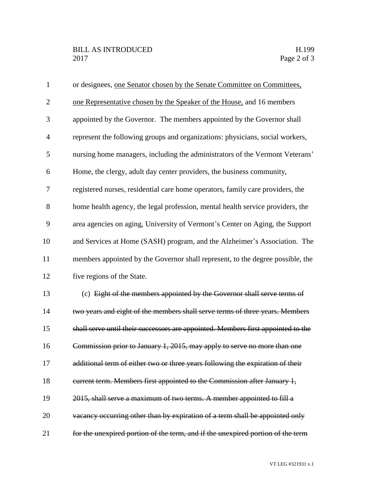| $\mathbf{1}$   | or designees, one Senator chosen by the Senate Committee on Committees,          |
|----------------|----------------------------------------------------------------------------------|
| $\overline{2}$ | one Representative chosen by the Speaker of the House, and 16 members            |
| 3              | appointed by the Governor. The members appointed by the Governor shall           |
| $\overline{4}$ | represent the following groups and organizations: physicians, social workers,    |
| 5              | nursing home managers, including the administrators of the Vermont Veterans'     |
| 6              | Home, the clergy, adult day center providers, the business community,            |
| $\tau$         | registered nurses, residential care home operators, family care providers, the   |
| 8              | home health agency, the legal profession, mental health service providers, the   |
| 9              | area agencies on aging, University of Vermont's Center on Aging, the Support     |
| 10             | and Services at Home (SASH) program, and the Alzheimer's Association. The        |
| 11             | members appointed by the Governor shall represent, to the degree possible, the   |
| 12             | five regions of the State.                                                       |
| 13             | (c) Eight of the members appointed by the Governor shall serve terms of          |
| 14             | two years and eight of the members shall serve terms of three years. Members     |
| 15             | shall serve until their successors are appointed. Members first appointed to the |
| 16             | Commission prior to January 1, 2015, may apply to serve no more than one         |
| 17             | additional term of either two or three years following the expiration of their   |
| 18             | eurrent term. Members first appointed to the Commission after January 1,         |
| 19             | 2015, shall serve a maximum of two terms. A member appointed to fill a           |
| 20             | vacancy occurring other than by expiration of a term shall be appointed only     |
| 21             | for the unexpired portion of the term, and if the unexpired portion of the term  |